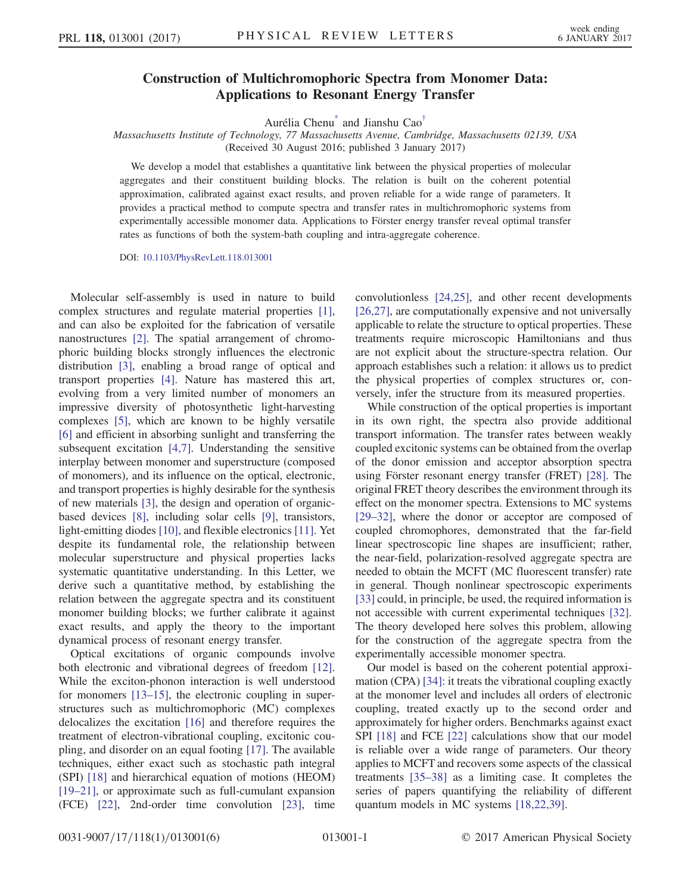## Construction of Multichromophoric Spectra from Monomer Data:  $\mathcal{A}_{\mathbf{P}}$   $\mathcal{A}_{\mathbf{P}}$   $\mathcal{A}_{\mathbf{P}}$   $\mathcal{A}_{\mathbf{P}}$   $\mathcal{A}_{\mathbf{P}}$   $\mathcal{A}_{\mathbf{P}}$   $\mathcal{A}_{\mathbf{P}}$   $\mathcal{A}_{\mathbf{P}}$   $\mathcal{A}_{\mathbf{P}}$   $\mathcal{A}_{\mathbf{P}}$   $\mathcal{A}_{\mathbf{P}}$   $\mathcal{A}_{\mathbf{P}}$   $\mathcal{A}_{\mathbf{P}}$   $\mathcal{A}_{\mathbf{P}}$   $\mathcal{A}_{\mathbf{$

Aurélia Chen[u\\*](#page-4-0) and Jianshu Cao[†](#page-4-1)

<span id="page-0-0"></span>Massachusetts Institute of Technology, 77 Massachusetts Avenue, Cambridge, Massachusetts 02139, USA (Received 30 August 2016; published 3 January 2017)

We develop a model that establishes a quantitative link between the physical properties of molecular aggregates and their constituent building blocks. The relation is built on the coherent potential approximation, calibrated against exact results, and proven reliable for a wide range of parameters. It provides a practical method to compute spectra and transfer rates in multichromophoric systems from experimentally accessible monomer data. Applications to Förster energy transfer reveal optimal transfer rates as functions of both the system-bath coupling and intra-aggregate coherence.

DOI: [10.1103/PhysRevLett.118.013001](http://dx.doi.org/10.1103/PhysRevLett.118.013001)

Molecular self-assembly is used in nature to build complex structures and regulate material properties [\[1\]](#page-4-2), and can also be exploited for the fabrication of versatile nanostructures [\[2\].](#page-4-3) The spatial arrangement of chromophoric building blocks strongly influences the electronic distribution [\[3\]](#page-4-4), enabling a broad range of optical and transport properties [\[4\].](#page-4-5) Nature has mastered this art, evolving from a very limited number of monomers an impressive diversity of photosynthetic light-harvesting complexes [\[5\]](#page-4-6), which are known to be highly versatile [\[6\]](#page-4-7) and efficient in absorbing sunlight and transferring the subsequent excitation [\[4,7\]](#page-4-5). Understanding the sensitive interplay between monomer and superstructure (composed of monomers), and its influence on the optical, electronic, and transport properties is highly desirable for the synthesis of new materials [\[3\]](#page-4-4), the design and operation of organicbased devices [\[8\]](#page-4-8), including solar cells [\[9\],](#page-4-9) transistors, light-emitting diodes [\[10\],](#page-4-10) and flexible electronics [\[11\]](#page-4-11). Yet despite its fundamental role, the relationship between molecular superstructure and physical properties lacks systematic quantitative understanding. In this Letter, we derive such a quantitative method, by establishing the relation between the aggregate spectra and its constituent monomer building blocks; we further calibrate it against exact results, and apply the theory to the important dynamical process of resonant energy transfer.

Optical excitations of organic compounds involve both electronic and vibrational degrees of freedom [\[12\]](#page-4-12). While the exciton-phonon interaction is well understood for monomers [\[13](#page-4-13)–15], the electronic coupling in superstructures such as multichromophoric (MC) complexes delocalizes the excitation [\[16\]](#page-4-14) and therefore requires the treatment of electron-vibrational coupling, excitonic coupling, and disorder on an equal footing [\[17\]](#page-4-15). The available techniques, either exact such as stochastic path integral (SPI) [\[18\]](#page-4-16) and hierarchical equation of motions (HEOM) [\[19](#page-4-17)–21], or approximate such as full-cumulant expansion (FCE) [\[22\],](#page-5-0) 2nd-order time convolution [\[23\]](#page-5-1), time

convolutionless [\[24,25\],](#page-5-2) and other recent developments [\[26,27\]](#page-5-3), are computationally expensive and not universally applicable to relate the structure to optical properties. These treatments require microscopic Hamiltonians and thus are not explicit about the structure-spectra relation. Our approach establishes such a relation: it allows us to predict the physical properties of complex structures or, conversely, infer the structure from its measured properties.

While construction of the optical properties is important in its own right, the spectra also provide additional transport information. The transfer rates between weakly coupled excitonic systems can be obtained from the overlap of the donor emission and acceptor absorption spectra using Förster resonant energy transfer (FRET) [\[28\].](#page-5-4) The original FRET theory describes the environment through its effect on the monomer spectra. Extensions to MC systems [\[29](#page-5-5)–32], where the donor or acceptor are composed of coupled chromophores, demonstrated that the far-field linear spectroscopic line shapes are insufficient; rather, the near-field, polarization-resolved aggregate spectra are needed to obtain the MCFT (MC fluorescent transfer) rate in general. Though nonlinear spectroscopic experiments [\[33\]](#page-5-6) could, in principle, be used, the required information is not accessible with current experimental techniques [\[32\]](#page-5-7). The theory developed here solves this problem, allowing for the construction of the aggregate spectra from the experimentally accessible monomer spectra.

Our model is based on the coherent potential approximation (CPA) [\[34\]:](#page-5-8) it treats the vibrational coupling exactly at the monomer level and includes all orders of electronic coupling, treated exactly up to the second order and approximately for higher orders. Benchmarks against exact SPI [\[18\]](#page-4-16) and FCE [\[22\]](#page-5-0) calculations show that our model is reliable over a wide range of parameters. Our theory applies to MCFT and recovers some aspects of the classical treatments [\[35](#page-5-9)–38] as a limiting case. It completes the series of papers quantifying the reliability of different quantum models in MC systems [\[18,22,39\]](#page-4-16).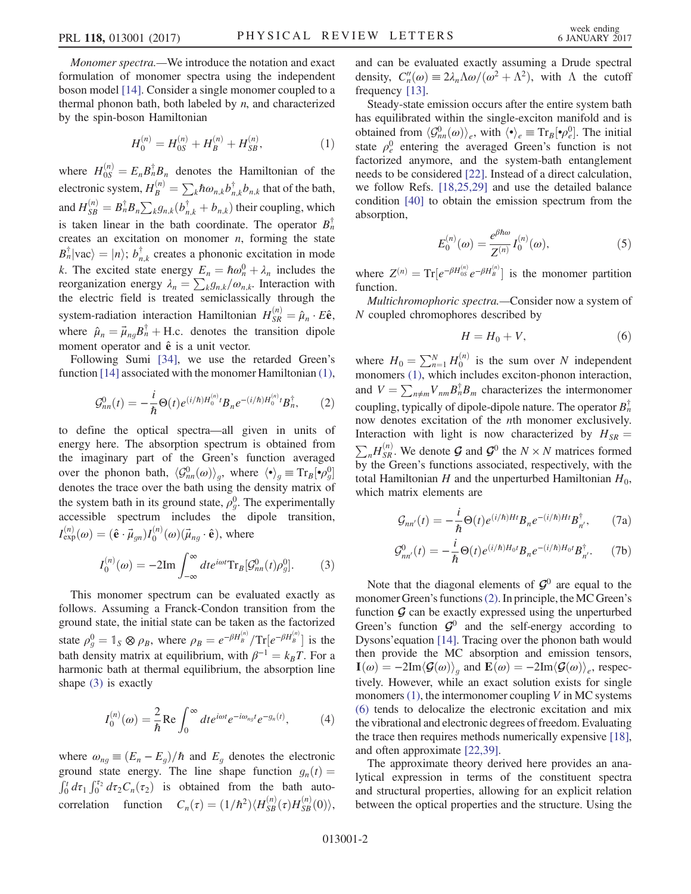<span id="page-1-0"></span>Monomer spectra.—We introduce the notation and exact formulation of monomer spectra using the independent boson model [\[14\]](#page-4-18). Consider a single monomer coupled to a thermal phonon bath, both labeled by  $n$ , and characterized by the spin-boson Hamiltonian

$$
H_0^{(n)} = H_{0S}^{(n)} + H_B^{(n)} + H_{SB}^{(n)},
$$
\n(1)

where  $H_{0S}^{(n)} = E_n B_n^{\dagger} B_n$  denotes the Hamiltonian of the electronic system,  $H_B^{(n)} = \sum_k \hbar \omega_{n,k} b_{n,k}^{\dagger} b_{n,k}$  that of the bath, and  $H_{SB}^{(n)} = B_n^{\dagger} B_n \sum_k g_{n,k} (b_{n,k}^{\dagger} + b_{n,k})$  their coupling, which is taken linear in the bath coordinate. The operator  $B_n^{\dagger}$ creates an excitation on monomer  $n$ , forming the state  $B_n^{\dagger}$ |vac $\rangle = |n\rangle$ ;  $b_{n,k}^{\dagger}$  creates a phononic excitation in mode k. The excited state energy  $E_n = \hbar \omega_n^0 + \lambda_n$  includes the reorganization energy  $\lambda_n = \sum_{k} g_{n,k}/\omega_{n,k}$ . Interaction with the electric field is treated semiclassically through the system-radiation interaction Hamiltonian  $H_{SR}^{(n)} = \hat{\mu}_n \cdot E \hat{\mathbf{e}}$ , where  $\hat{\mu}_n = \vec{\mu}_{ng} B_n^{\dagger} + \text{H.c.}$  denotes the transition dipole moment operator and  $\hat{e}$  is a unit vector.

<span id="page-1-2"></span>Following Sumi [\[34\]](#page-5-8), we use the retarded Green's function [\[14\]](#page-4-18) associated with the monomer Hamiltonian [\(1\)](#page-1-0),

$$
\mathcal{G}_{nn}^{0}(t) = -\frac{i}{\hbar} \Theta(t) e^{(i/\hbar)H_{0}^{(n)}t} B_{n} e^{-(i/\hbar)H_{0}^{(n)}t} B_{n}^{\dagger}, \qquad (2)
$$

to define the optical spectra—all given in units of energy here. The absorption spectrum is obtained from the imaginary part of the Green's function averaged over the phonon bath,  $\langle \mathcal{G}_{nn}^0(\omega) \rangle_g$ , where  $\langle \cdot \rangle_g \equiv \text{Tr}_B[\cdot \rho_g^0]$ denotes the trace over the bath using the density matrix of the system bath in its ground state,  $\rho_g^0$ . The experimentally accessible spectrum includes the dipole transition,  $I_{\text{exp}}^{(n)}(\omega) = (\hat{\mathbf{e}} \cdot \vec{\mu}_{gn}) I_0^{(n)}(\omega) (\vec{\mu}_{ng} \cdot \hat{\mathbf{e}}), \text{ where}$ 

<span id="page-1-1"></span>
$$
I_0^{(n)}(\omega) = -2\mathrm{Im}\int_{-\infty}^{\infty} dt e^{i\omega t} \mathrm{Tr}_B[\mathcal{G}_{nn}^0(t)\rho_g^0].
$$
 (3)

This monomer spectrum can be evaluated exactly as follows. Assuming a Franck-Condon transition from the ground state, the initial state can be taken as the factorized state  $\rho_g^0 = \mathbb{1}_S \otimes \rho_B$ , where  $\rho_B = e^{-\beta H_B^{(n)}} / Tr[e^{-\beta H_B^{(n)}}]$  is the bath density matrix at equilibrium, with  $\beta^{-1} = k_B T$ . For a harmonic bath at thermal equilibrium, the absorption line shape [\(3\)](#page-1-1) is exactly

<span id="page-1-6"></span>
$$
I_0^{(n)}(\omega) = \frac{2}{\hbar} \text{Re} \int_0^\infty dt e^{i\omega t} e^{-i\omega_{ng}t} e^{-g_n(t)}, \tag{4}
$$

where  $\omega_{ng} \equiv (E_n - E_g)/\hbar$  and  $E_g$  denotes the electronic ground state energy. The line shape function  $g_n(t) =$  $\int_0^t d\tau_1 \int_0^{\tau_2} d\tau_2 C_n(\tau_2)$  is obtained from the bath autocorrelation function  $C_n(\tau) = (1/\hbar^2) \langle H_{SB}^{(n)}(\tau) H_{SB}^{(n)}(0) \rangle$ , and can be evaluated exactly assuming a Drude spectral density,  $C_n''(\omega) \equiv 2\lambda_n \Lambda \omega/(\omega^2 + \Lambda^2)$ , with  $\Lambda$  the cutoff frequency [\[13\]](#page-4-13).

Steady-state emission occurs after the entire system bath has equilibrated within the single-exciton manifold and is obtained from  $\langle \mathcal{G}_{nn}^0(\omega) \rangle_e$ , with  $\langle \cdot \rangle_e \equiv \text{Tr}_B[\cdot \rho_e^0]$ . The initial state  $\rho_e^0$  entering the averaged Green's function is not factorized anymore, and the system-bath entanglement needs to be considered [\[22\].](#page-5-0) Instead of a direct calculation, we follow Refs. [\[18,25,29\]](#page-4-16) and use the detailed balance condition [\[40\]](#page-5-10) to obtain the emission spectrum from the absorption,

$$
E_0^{(n)}(\omega) = \frac{e^{\beta \hbar \omega}}{Z^{(n)}} I_0^{(n)}(\omega),
$$
 (5)

<span id="page-1-4"></span>where  $Z^{(n)} = \text{Tr} \left[ e^{-\beta H_{0S}^{(n)}} e^{-\beta H_{B}^{(n)}} \right]$  is the monomer partition function.

<span id="page-1-3"></span>Multichromophoric spectra.—Consider now a system of N coupled chromophores described by

$$
H = H_0 + V,\t\t(6)
$$

where  $H_0 = \sum_{n=1}^{N} H_0^{(n)}$  is the sum over N independent monomers [\(1\),](#page-1-0) which includes exciton-phonon interaction, and  $V = \sum_{n \neq m} V_{nm} B_n^{\dagger} B_m$  characterizes the intermonomer coupling, typically of dipole-dipole nature. The operator  $B_n^{\dagger}$ now denotes excitation of the nth monomer exclusively. Interaction with light is now characterized by  $H_{SR} =$  $\sum_n H_{SR}^{(n)}$ . We denote  $\mathcal{G}$  and  $\mathcal{G}^0$  the  $N \times N$  matrices formed by the Green's functions associated, respectively, with the total Hamiltonian H and the unperturbed Hamiltonian  $H_0$ , which matrix elements are

$$
\mathcal{G}_{nn'}(t) = -\frac{i}{\hbar} \Theta(t) e^{(i/\hbar)Ht} B_n e^{-(i/\hbar)Ht} B_{n'}^{\dagger}, \qquad (7a)
$$

<span id="page-1-5"></span>
$$
\mathcal{G}_{nn'}^{0}(t) = -\frac{i}{\hbar} \Theta(t) e^{(i/\hbar)H_0 t} B_n e^{-(i/\hbar)H_0 t} B_{n'}^{\dagger}.
$$
 (7b)

Note that the diagonal elements of  $\mathcal{G}^0$  are equal to the monomer Green's functions[\(2\)](#page-1-2). In principle, theMC Green's function  $\mathcal G$  can be exactly expressed using the unperturbed Green's function  $\mathcal{G}^0$  and the self-energy according to Dysons'equation [\[14\].](#page-4-18) Tracing over the phonon bath would then provide the MC absorption and emission tensors,  $I(\omega) = -2\text{Im}\langle \mathcal{G}(\omega)\rangle_{\alpha}$  and  $\mathbf{E}(\omega) = -2\text{Im}\langle \mathcal{G}(\omega)\rangle_{\alpha}$ , respectively. However, while an exact solution exists for single monomers  $(1)$ , the intermonomer coupling V in MC systems [\(6\)](#page-1-3) tends to delocalize the electronic excitation and mix the vibrational and electronic degrees of freedom. Evaluating the trace then requires methods numerically expensive [\[18\]](#page-4-16), and often approximate [\[22,39\].](#page-5-0)

The approximate theory derived here provides an analytical expression in terms of the constituent spectra and structural properties, allowing for an explicit relation between the optical properties and the structure. Using the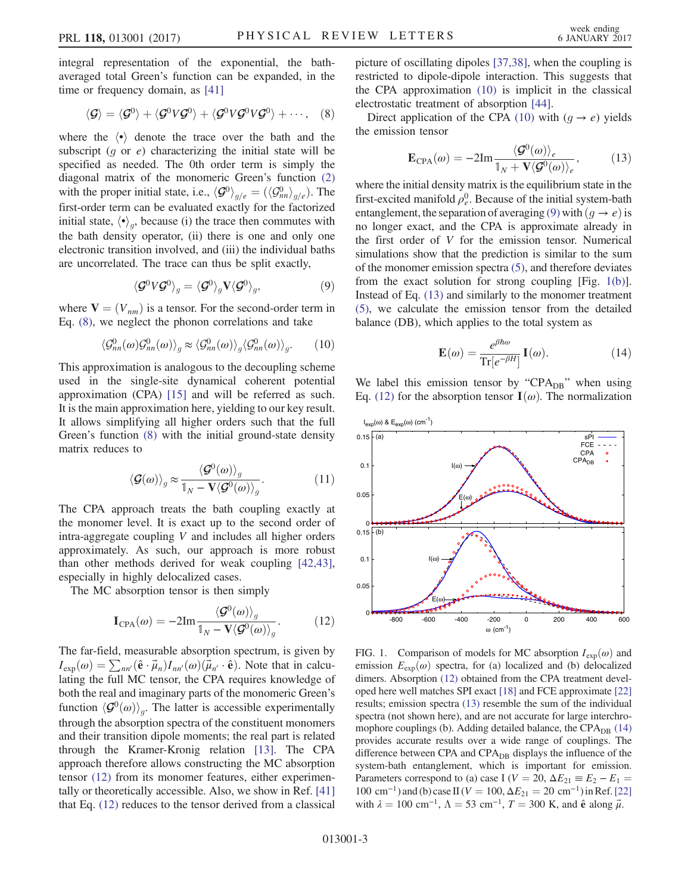<span id="page-2-0"></span>integral representation of the exponential, the bathaveraged total Green's function can be expanded, in the time or frequency domain, as [\[41\]](#page-5-11)

$$
\langle \mathcal{G} \rangle = \langle \mathcal{G}^0 \rangle + \langle \mathcal{G}^0 V \mathcal{G}^0 \rangle + \langle \mathcal{G}^0 V \mathcal{G}^0 V \mathcal{G}^0 \rangle + \cdots, \quad (8)
$$

where the  $\langle \cdot \rangle$  denote the trace over the bath and the subscript  $(g \text{ or } e)$  characterizing the initial state will be specified as needed. The 0th order term is simply the diagonal matrix of the monomeric Green's function [\(2\)](#page-1-2) with the proper initial state, i.e.,  $\langle \mathcal{G}^0 \rangle_{g/e} = (\langle \mathcal{G}^0_{nn} \rangle_{g/e})$ . The first-order term can be evaluated exactly for the factorized initial state,  $\langle \cdot \rangle_{\alpha}$ , because (i) the trace then commutes with the bath density operator, (ii) there is one and only one electronic transition involved, and (iii) the individual baths are uncorrelated. The trace can thus be split exactly,

$$
\langle \mathcal{G}^0 V \mathcal{G}^0 \rangle_g = \langle \mathcal{G}^0 \rangle_g \mathbf{V} \langle \mathcal{G}^0 \rangle_g, \tag{9}
$$

<span id="page-2-3"></span><span id="page-2-2"></span>where  $V = (V_{nm})$  is a tensor. For the second-order term in Eq. [\(8\),](#page-2-0) we neglect the phonon correlations and take

$$
\langle \mathcal{G}_{nn}^0(\omega) \mathcal{G}_{nn}^0(\omega) \rangle_g \approx \langle \mathcal{G}_{nn}^0(\omega) \rangle_g \langle \mathcal{G}_{nn}^0(\omega) \rangle_g. \qquad (10)
$$

This approximation is analogous to the decoupling scheme used in the single-site dynamical coherent potential approximation (CPA) [\[15\]](#page-4-19) and will be referred as such. It is the main approximation here, yielding to our key result. It allows simplifying all higher orders such that the full Green's function [\(8\)](#page-2-0) with the initial ground-state density matrix reduces to

$$
\langle \mathcal{G}(\omega) \rangle_g \approx \frac{\langle \mathcal{G}^0(\omega) \rangle_g}{\mathbb{1}_N - \mathbf{V} \langle \mathcal{G}^0(\omega) \rangle_g}.
$$
 (11)

The CPA approach treats the bath coupling exactly at the monomer level. It is exact up to the second order of intra-aggregate coupling V and includes all higher orders approximately. As such, our approach is more robust than other methods derived for weak coupling [\[42,43\]](#page-5-12), especially in highly delocalized cases.

<span id="page-2-1"></span>The MC absorption tensor is then simply

$$
\mathbf{I}_{\text{CPA}}(\omega) = -2\text{Im}\frac{\langle \mathcal{G}^0(\omega) \rangle_g}{\mathbb{1}_N - \mathbf{V} \langle \mathcal{G}^0(\omega) \rangle_g}.
$$
 (12)

The far-field, measurable absorption spectrum, is given by  $I_{\text{exp}}(\omega) = \sum_{nn'} (\hat{\mathbf{e}} \cdot \vec{\mu}_n) I_{nn'}(\omega) (\vec{\mu}_{n'} \cdot \hat{\mathbf{e}})$ . Note that in calculating the full MC tensor, the CPA requires knowledge of both the real and imaginary parts of the monomeric Green's function  $\langle \mathcal{G}^0(\omega) \rangle_{\alpha}$ . The latter is accessible experimentally through the absorption spectra of the constituent monomers and their transition dipole moments; the real part is related through the Kramer-Kronig relation [\[13\].](#page-4-13) The CPA approach therefore allows constructing the MC absorption tensor [\(12\)](#page-2-1) from its monomer features, either experimentally or theoretically accessible. Also, we show in Ref. [\[41\]](#page-5-11) that Eq. [\(12\)](#page-2-1) reduces to the tensor derived from a classical picture of oscillating dipoles [\[37,38\]](#page-5-13), when the coupling is restricted to dipole-dipole interaction. This suggests that the CPA approximation [\(10\)](#page-2-2) is implicit in the classical electrostatic treatment of absorption [\[44\]](#page-5-14).

<span id="page-2-5"></span>Direct application of the CPA [\(10\)](#page-2-2) with  $(g \rightarrow e)$  yields the emission tensor

$$
\mathbf{E}_{\text{CPA}}(\omega) = -2\text{Im}\frac{\langle \mathcal{G}^0(\omega) \rangle_e}{\mathbb{1}_N + \mathbf{V} \langle \mathcal{G}^0(\omega) \rangle_e},\tag{13}
$$

where the initial density matrix is the equilibrium state in the first-excited manifold  $\rho_e^0$ . Because of the initial system-bath entanglement, the separation of averaging [\(9\)](#page-2-3) with  $(g \to e)$  is no longer exact, and the CPA is approximate already in the first order of V for the emission tensor. Numerical simulations show that the prediction is similar to the sum of the monomer emission spectra [\(5\)](#page-1-4), and therefore deviates from the exact solution for strong coupling [Fig. [1\(b\)](#page-2-4)]. Instead of Eq. [\(13\)](#page-2-5) and similarly to the monomer treatment [\(5\),](#page-1-4) we calculate the emission tensor from the detailed balance (DB), which applies to the total system as

$$
\mathbf{E}(\omega) = \frac{e^{\beta \hbar \omega}}{\text{Tr}[e^{-\beta H}]} \mathbf{I}(\omega). \tag{14}
$$

<span id="page-2-6"></span>We label this emission tensor by " $CPA_{DB}$ " when using Eq. [\(12\)](#page-2-1) for the absorption tensor  $\mathbf{I}(\omega)$ . The normalization

<span id="page-2-4"></span>

FIG. 1. Comparison of models for MC absorption  $I_{\text{exp}}(\omega)$  and emission  $E_{\text{exp}}(\omega)$  spectra, for (a) localized and (b) delocalized dimers. Absorption [\(12\)](#page-2-1) obtained from the CPA treatment developed here well matches SPI exact [\[18\]](#page-4-16) and FCE approximate [\[22\]](#page-5-0) results; emission spectra [\(13\)](#page-2-5) resemble the sum of the individual spectra (not shown here), and are not accurate for large interchromophore couplings (b). Adding detailed balance, the  $CPA_{DB}$  [\(14\)](#page-2-6) provides accurate results over a wide range of couplings. The difference between CPA and  $CPA<sub>DR</sub>$  displays the influence of the system-bath entanglement, which is important for emission. Parameters correspond to (a) case I ( $V = 20$ ,  $\Delta E_{21} \equiv E_2 - E_1$ 100 cm<sup>-1</sup>) and (b) case II ( $V = 100$ ,  $\Delta E_{21} = 20$  cm<sup>-1</sup>) in Ref. [\[22\]](#page-5-0) with  $\lambda = 100 \text{ cm}^{-1}$ ,  $\Lambda = 53 \text{ cm}^{-1}$ ,  $T = 300 \text{ K}$ , and  $\hat{\mathbf{e}}$  along  $\vec{\mu}$ .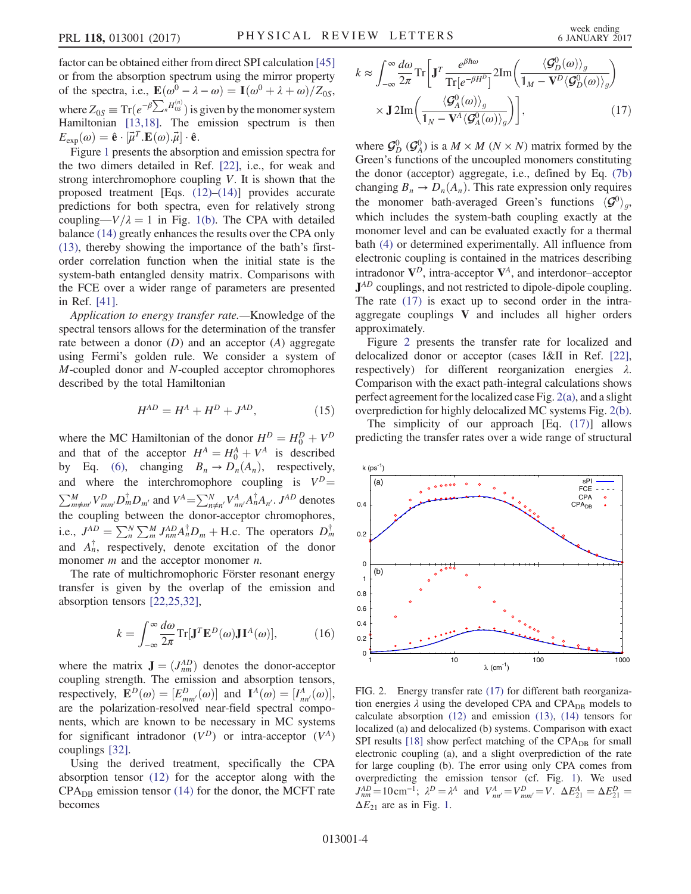factor can be obtained either from direct SPI calculation [\[45\]](#page-5-15) or from the absorption spectrum using the mirror property of the spectra, i.e.,  $\mathbf{E}(\omega^0 - \lambda - \omega) = \mathbf{I}(\omega^0 + \lambda + \omega)/Z_{0S}$ , where  $Z_{0S} \equiv \text{Tr}(e^{-\beta \sum_n H_{0S}^{(n)}})$  is given by the monomer system Hamiltonian [\[13,18\]](#page-4-13). The emission spectrum is then  $E_{\text{exp}}(\omega) = \hat{\mathbf{e}} \cdot [\vec{\mu}^T \cdot \mathbf{E}(\omega) \cdot \vec{\mu}] \cdot \hat{\mathbf{e}}.$ 

Figure [1](#page-2-4) presents the absorption and emission spectra for the two dimers detailed in Ref. [\[22\],](#page-5-0) i.e., for weak and strong interchromophore coupling V. It is shown that the proposed treatment [Eqs. [\(12\)](#page-2-1)–[\(14\)](#page-2-6)] provides accurate predictions for both spectra, even for relatively strong coupling— $V/\lambda = 1$  in Fig. [1\(b\).](#page-2-4) The CPA with detailed balance [\(14\)](#page-2-6) greatly enhances the results over the CPA only [\(13\)](#page-2-5), thereby showing the importance of the bath's firstorder correlation function when the initial state is the system-bath entangled density matrix. Comparisons with the FCE over a wider range of parameters are presented in Ref. [\[41\]](#page-5-11).

Application to energy transfer rate.—Knowledge of the spectral tensors allows for the determination of the transfer rate between a donor  $(D)$  and an acceptor  $(A)$  aggregate using Fermi's golden rule. We consider a system of M-coupled donor and N-coupled acceptor chromophores described by the total Hamiltonian

$$
H^{AD} = H^A + H^D + J^{AD},\tag{15}
$$

where the MC Hamiltonian of the donor  $H^D = H_0^D + V^D$ and that of the acceptor  $H^A = H_0^A + V^A$  is described by Eq. [\(6\),](#page-1-3) changing  $B_n \to D_n(A_n)$ , respectively, and where the interchromophore coupling is  $V^D$  =  $\sum_{m\neq m'}^{M} V_{mm'}^D D_m^{\dagger} D_{m'}$  and  $V^A = \sum_{n\neq n'}^{N} V_{nn'}^A A_n^{\dagger} A_{n'}$ .  $J^{AD}$  denotes the coupling between the donor-acceptor chromophores, i.e.,  $J^{AD} = \sum_{n=0}^{N} \sum_{m=0}^{M} J^{AD}_{nm} A^{\dagger}_{n} D_{m} + \text{H.c.}$  The operators  $D^{\dagger}_{m}$ and  $A_n^{\dagger}$ , respectively, denote excitation of the donor monomer  $m$  and the acceptor monomer  $n$ .

The rate of multichromophoric Förster resonant energy transfer is given by the overlap of the emission and absorption tensors [\[22,25,32\]](#page-5-0),

$$
k = \int_{-\infty}^{\infty} \frac{d\omega}{2\pi} \text{Tr}[\mathbf{J}^T \mathbf{E}^D(\omega) \mathbf{J} \mathbf{I}^A(\omega)],\tag{16}
$$

where the matrix  $\mathbf{J} = (J_{nm}^{AD})$  denotes the donor-acceptor coupling strength. The emission and absorption tensors, respectively,  $\mathbf{E}^D(\omega) = [E_{mm'}^D(\omega)]$  and  $\mathbf{I}^A(\omega) = [I_{nn'}^A(\omega)],$ are the polarization-resolved near-field spectral components, which are known to be necessary in MC systems for significant intradonor  $(V^D)$  or intra-acceptor  $(V^A)$ couplings [\[32\]](#page-5-7).

<span id="page-3-0"></span>Using the derived treatment, specifically the CPA absorption tensor [\(12\)](#page-2-1) for the acceptor along with the  $CPA<sub>DB</sub>$  emission tensor [\(14\)](#page-2-6) for the donor, the MCFT rate becomes

$$
k \approx \int_{-\infty}^{\infty} \frac{d\omega}{2\pi} \text{Tr} \left[ \mathbf{J}^T \frac{e^{\beta \hbar \omega}}{\text{Tr} [e^{-\beta H^D}]} 2 \text{Im} \left( \frac{\langle \mathbf{G}_D^0(\omega) \rangle_g}{\mathbb{1}_M - \mathbf{V}^D \langle \mathbf{G}_D^0(\omega) \rangle_g} \right) \times \mathbf{J} \, 2 \text{Im} \left( \frac{\langle \mathbf{G}_A^0(\omega) \rangle_g}{\mathbb{1}_N - \mathbf{V}^A \langle \mathbf{G}_A^0(\omega) \rangle_g} \right) \right], \tag{17}
$$

where  $\mathcal{G}_D^0$   $(\mathcal{G}_A^0)$  is a  $M \times M$   $(N \times N)$  matrix formed by the Green's functions of the uncoupled monomers constituting the donor (acceptor) aggregate, i.e., defined by Eq. [\(7b\)](#page-1-5) changing  $B_n \to D_n(A_n)$ . This rate expression only requires the monomer bath-averaged Green's functions  $\langle \mathcal{G}^0 \rangle_o$ , which includes the system-bath coupling exactly at the monomer level and can be evaluated exactly for a thermal bath [\(4\)](#page-1-6) or determined experimentally. All influence from electronic coupling is contained in the matrices describing intradonor  $V^D$ , intra-acceptor  $V^A$ , and interdonor–acceptor  $J^{AD}$  couplings, and not restricted to dipole-dipole coupling. The rate [\(17\)](#page-3-0) is exact up to second order in the intraaggregate couplings V and includes all higher orders approximately.

Figure [2](#page-3-1) presents the transfer rate for localized and delocalized donor or acceptor (cases I&II in Ref. [\[22\]](#page-5-0), respectively) for different reorganization energies λ. Comparison with the exact path-integral calculations shows perfect agreement for the localized case Fig. [2\(a\),](#page-3-1) and a slight overprediction for highly delocalized MC systems Fig. [2\(b\)](#page-3-1).

The simplicity of our approach [Eq. [\(17\)](#page-3-0)] allows predicting the transfer rates over a wide range of structural

<span id="page-3-1"></span>

FIG. 2. Energy transfer rate [\(17\)](#page-3-0) for different bath reorganization energies  $\lambda$  using the developed CPA and CPA<sub>DB</sub> models to calculate absorption [\(12\)](#page-2-1) and emission [\(13\)](#page-2-5), [\(14\)](#page-2-6) tensors for localized (a) and delocalized (b) systems. Comparison with exact SPI results  $[18]$  show perfect matching of the CPA<sub>DB</sub> for small electronic coupling (a), and a slight overprediction of the rate for large coupling (b). The error using only CPA comes from overpredicting the emission tensor (cf. Fig. [1](#page-2-4)). We used  $J_{nm}^{AD} = 10 \text{ cm}^{-1}; \ \lambda^D = \lambda^A \text{ and } V_{nn'}^A = V_{mm'}^D = V. \ \Delta E_{21}^A = \Delta E_{21}^D =$  $\Delta E_{21}$  $\Delta E_{21}$  $\Delta E_{21}$  are as in Fig. 1.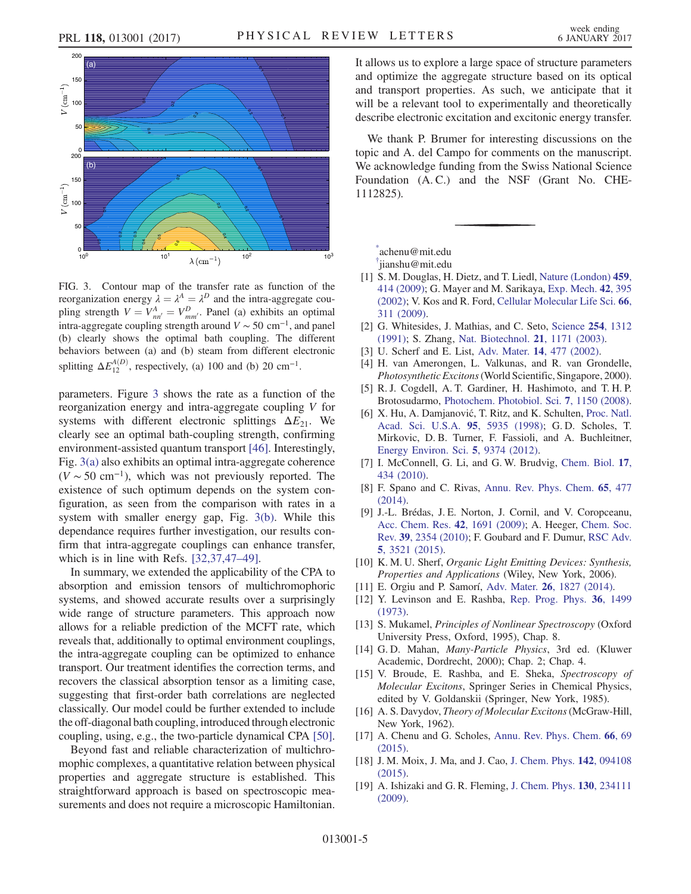<span id="page-4-20"></span>

FIG. 3. Contour map of the transfer rate as function of the reorganization energy  $\lambda = \lambda^A = \lambda^D$  and the intra-aggregate coupling strength  $V = V_{nn'}^A = V_{mm'}^D$ . Panel (a) exhibits an optimal intra-aggregate coupling strength around  $V \sim 50 \text{ cm}^{-1}$ , and panel (b) clearly shows the optimal bath coupling. The different behaviors between (a) and (b) steam from different electronic splitting  $\Delta E_{12}^{A(D)}$ , respectively, (a) 100 and (b) 20 cm<sup>-1</sup>.

parameters. Figure [3](#page-4-20) shows the rate as a function of the reorganization energy and intra-aggregate coupling V for systems with different electronic splittings  $\Delta E_{21}$ . We clearly see an optimal bath-coupling strength, confirming environment-assisted quantum transport [\[46\].](#page-5-16) Interestingly, Fig. [3\(a\)](#page-4-20) also exhibits an optimal intra-aggregate coherence  $(V \sim 50 \text{ cm}^{-1})$ , which was not previously reported. The existence of such optimum depends on the system configuration, as seen from the comparison with rates in a system with smaller energy gap, Fig. [3\(b\).](#page-4-20) While this dependance requires further investigation, our results confirm that intra-aggregate couplings can enhance transfer, which is in line with Refs. [\[32,37,47](#page-5-7)–49].

In summary, we extended the applicability of the CPA to absorption and emission tensors of multichromophoric systems, and showed accurate results over a surprisingly wide range of structure parameters. This approach now allows for a reliable prediction of the MCFT rate, which reveals that, additionally to optimal environment couplings, the intra-aggregate coupling can be optimized to enhance transport. Our treatment identifies the correction terms, and recovers the classical absorption tensor as a limiting case, suggesting that first-order bath correlations are neglected classically. Our model could be further extended to include the off-diagonal bath coupling, introduced through electronic coupling, using, e.g., the two-particle dynamical CPA [\[50\]](#page-5-17).

Beyond fast and reliable characterization of multichromophic complexes, a quantitative relation between physical properties and aggregate structure is established. This straightforward approach is based on spectroscopic measurements and does not require a microscopic Hamiltonian. It allows us to explore a large space of structure parameters and optimize the aggregate structure based on its optical and transport properties. As such, we anticipate that it will be a relevant tool to experimentally and theoretically describe electronic excitation and excitonic energy transfer.

We thank P. Brumer for interesting discussions on the topic and A. del Campo for comments on the manuscript. We acknowledge funding from the Swiss National Science Foundation (A. C.) and the NSF (Grant No. CHE-1112825).

<span id="page-4-1"></span><span id="page-4-0"></span>[\\*](#page-0-0) achenu@mit.edu

[†](#page-0-0) jianshu@mit.edu

- <span id="page-4-2"></span>[1] S. M. Douglas, H. Dietz, and T. Liedl, [Nature \(London\)](http://dx.doi.org/10.1038/nature08016) 459, [414 \(2009\)](http://dx.doi.org/10.1038/nature08016); G. Mayer and M. Sarikaya, [Exp. Mech.](http://dx.doi.org/10.1007/BF02412144) 42, 395 [\(2002\);](http://dx.doi.org/10.1007/BF02412144) V. Kos and R. Ford, [Cellular Molecular Life Sci.](http://dx.doi.org/10.1007/s00018-009-0064-9) 66, [311 \(2009\)](http://dx.doi.org/10.1007/s00018-009-0064-9).
- <span id="page-4-4"></span><span id="page-4-3"></span>[2] G. Whitesides, J. Mathias, and C. Seto, [Science](http://dx.doi.org/10.1126/science.1962191) 254, 1312 [\(1991\);](http://dx.doi.org/10.1126/science.1962191) S. Zhang, [Nat. Biotechnol.](http://dx.doi.org/10.1038/nbt874) 21, 1171 (2003).
- <span id="page-4-5"></span>[3] U. Scherf and E. List, Adv. Mater. **14**[, 477 \(2002\).](http://dx.doi.org/10.1002/1521-4095(20020404)14:7%3C477::AID-ADMA477%3E3.0.CO;2-9)
- <span id="page-4-6"></span>[4] H. van Amerongen, L. Valkunas, and R. van Grondelle, Photosynthetic Excitons(World Scientific, Singapore, 2000).
- <span id="page-4-7"></span>[5] R. J. Cogdell, A. T. Gardiner, H. Hashimoto, and T. H. P. Brotosudarmo, [Photochem. Photobiol. Sci.](http://dx.doi.org/10.1039/b807201a) 7, 1150 (2008).
- [6] X. Hu, A. Damjanović, T. Ritz, and K. Schulten, [Proc. Natl.](http://dx.doi.org/10.1073/pnas.95.11.5935) [Acad. Sci. U.S.A.](http://dx.doi.org/10.1073/pnas.95.11.5935) 95, 5935 (1998); G. D. Scholes, T. Mirkovic, D. B. Turner, F. Fassioli, and A. Buchleitner, [Energy Environ. Sci.](http://dx.doi.org/10.1039/c2ee23013e) 5, 9374 (2012).
- <span id="page-4-8"></span>[7] I. McConnell, G. Li, and G. W. Brudvig, [Chem. Biol.](http://dx.doi.org/10.1016/j.chembiol.2010.05.005) 17, [434 \(2010\)](http://dx.doi.org/10.1016/j.chembiol.2010.05.005).
- <span id="page-4-9"></span>[8] F. Spano and C. Rivas, [Annu. Rev. Phys. Chem.](http://dx.doi.org/10.1146/annurev-physchem-040513-103639) 65, 477  $(2014)$ .
- [9] J.-L. Brédas, J. E. Norton, J. Cornil, and V. Coropceanu, [Acc. Chem. Res.](http://dx.doi.org/10.1021/ar900099h) 42, 1691 (2009); A. Heeger, [Chem. Soc.](http://dx.doi.org/10.1039/b914956m) Rev. 39[, 2354 \(2010\);](http://dx.doi.org/10.1039/b914956m) F. Goubard and F. Dumur, [RSC Adv.](http://dx.doi.org/10.1039/C4RA11559G) 5[, 3521 \(2015\).](http://dx.doi.org/10.1039/C4RA11559G)
- <span id="page-4-11"></span><span id="page-4-10"></span>[10] K. M. U. Sherf, Organic Light Emitting Devices: Synthesis, Properties and Applications (Wiley, New York, 2006).
- <span id="page-4-12"></span>[11] E. Orgiu and P. Samorí, Adv. Mater. **26**[, 1827 \(2014\)](http://dx.doi.org/10.1002/adma.201304695).
- <span id="page-4-13"></span>[12] Y. Levinson and E. Rashba, [Rep. Prog. Phys.](http://dx.doi.org/10.1088/0034-4885/36/12/001) 36, 1499 [\(1973\).](http://dx.doi.org/10.1088/0034-4885/36/12/001)
- <span id="page-4-18"></span>[13] S. Mukamel, *Principles of Nonlinear Spectroscopy* (Oxford University Press, Oxford, 1995), Chap. 8.
- <span id="page-4-19"></span>[14] G.D. Mahan, Many-Particle Physics, 3rd ed. (Kluwer Academic, Dordrecht, 2000); Chap. 2; Chap. 4.
- <span id="page-4-14"></span>[15] V. Broude, E. Rashba, and E. Sheka, Spectroscopy of Molecular Excitons, Springer Series in Chemical Physics, edited by V. Goldanskii (Springer, New York, 1985).
- <span id="page-4-15"></span>[16] A. S. Davydov, *Theory of Molecular Excitons* (McGraw-Hill, New York, 1962).
- <span id="page-4-16"></span>[17] A. Chenu and G. Scholes, [Annu. Rev. Phys. Chem.](http://dx.doi.org/10.1146/annurev-physchem-040214-121713) **66**, 69  $(2015)$
- <span id="page-4-17"></span>[18] J. M. Moix, J. Ma, and J. Cao, [J. Chem. Phys.](http://dx.doi.org/10.1063/1.4908601) 142, 094108 [\(2015\).](http://dx.doi.org/10.1063/1.4908601)
- [19] A. Ishizaki and G. R. Fleming, [J. Chem. Phys.](http://dx.doi.org/10.1063/1.3155372) **130**, 234111 [\(2009\).](http://dx.doi.org/10.1063/1.3155372)